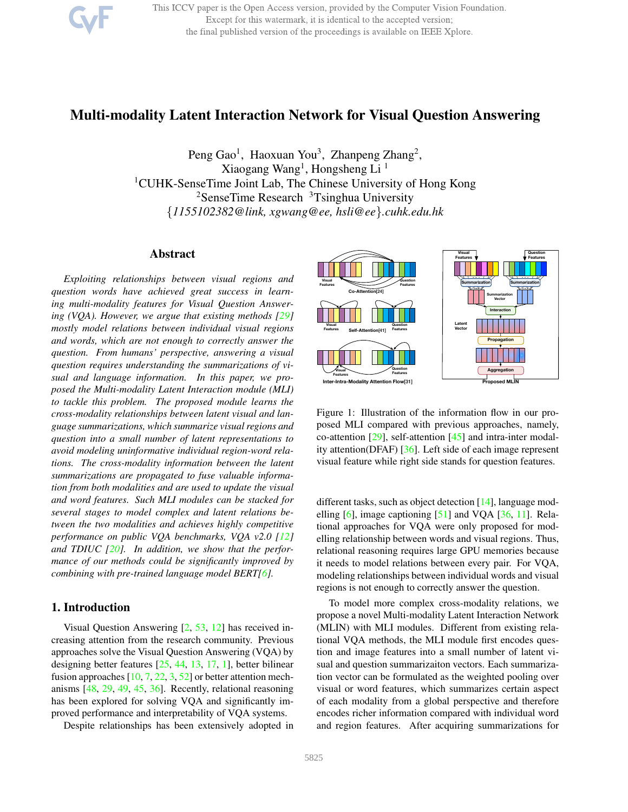

This ICCV paper is the Open Access version, provided by the Computer Vision Foundation. Except for this watermark, it is identical to the accepted version; the final published version of the proceedings is available on IEEE Xplore.

# Multi-modality Latent Interaction Network for Visual Question Answering

Peng Gao<sup>1</sup>, Haoxuan You<sup>3</sup>, Zhanpeng Zhang<sup>2</sup>, Xiaogang Wang<sup>1</sup>, Hongsheng Li<sup>1</sup> <sup>1</sup>CUHK-SenseTime Joint Lab, The Chinese University of Hong Kong <sup>2</sup>SenseTime Research <sup>3</sup>Tsinghua University {*1155102382@link, xgwang@ee, hsli@ee*}*.cuhk.edu.hk*

# Abstract

*Exploiting relationships between visual regions and question words have achieved great success in learning multi-modality features for Visual Question Answering (VQA). However, we argue that existing methods [29] mostly model relations between individual visual regions and words, which are not enough to correctly answer the question. From humans' perspective, answering a visual question requires understanding the summarizations of visual and language information. In this paper, we proposed the Multi-modality Latent Interaction module (MLI) to tackle this problem. The proposed module learns the cross-modality relationships between latent visual and language summarizations, which summarize visual regions and question into a small number of latent representations to avoid modeling uninformative individual region-word relations. The cross-modality information between the latent summarizations are propagated to fuse valuable information from both modalities and are used to update the visual and word features. Such MLI modules can be stacked for several stages to model complex and latent relations between the two modalities and achieves highly competitive performance on public VQA benchmarks, VQA v2.0 [12] and TDIUC [20]. In addition, we show that the performance of our methods could be significantly improved by combining with pre-trained language model BERT[6].*

# 1. Introduction

Visual Question Answering [2, 53, 12] has received increasing attention from the research community. Previous approaches solve the Visual Question Answering (VQA) by designing better features [25, 44, 13, 17, 1], better bilinear fusion approaches  $[10, 7, 22, 3, 52]$  or better attention mechanisms [48, 29, 49, 45, 36]. Recently, relational reasoning has been explored for solving VQA and significantly improved performance and interpretability of VQA systems.

Despite relationships has been extensively adopted in



Figure 1: Illustration of the information flow in our proposed MLI compared with previous approaches, namely, co-attention  $[29]$ , self-attention  $[45]$  and intra-inter modality attention(DFAF) [36]. Left side of each image represent visual feature while right side stands for question features.

different tasks, such as object detection [14], language modelling  $[6]$ , image captioning  $[51]$  and VQA  $[36, 11]$ . Relational approaches for VQA were only proposed for modelling relationship between words and visual regions. Thus, relational reasoning requires large GPU memories because it needs to model relations between every pair. For VQA, modeling relationships between individual words and visual regions is not enough to correctly answer the question.

To model more complex cross-modality relations, we propose a novel Multi-modality Latent Interaction Network (MLIN) with MLI modules. Different from existing relational VQA methods, the MLI module first encodes question and image features into a small number of latent visual and question summarizaiton vectors. Each summarization vector can be formulated as the weighted pooling over visual or word features, which summarizes certain aspect of each modality from a global perspective and therefore encodes richer information compared with individual word and region features. After acquiring summarizations for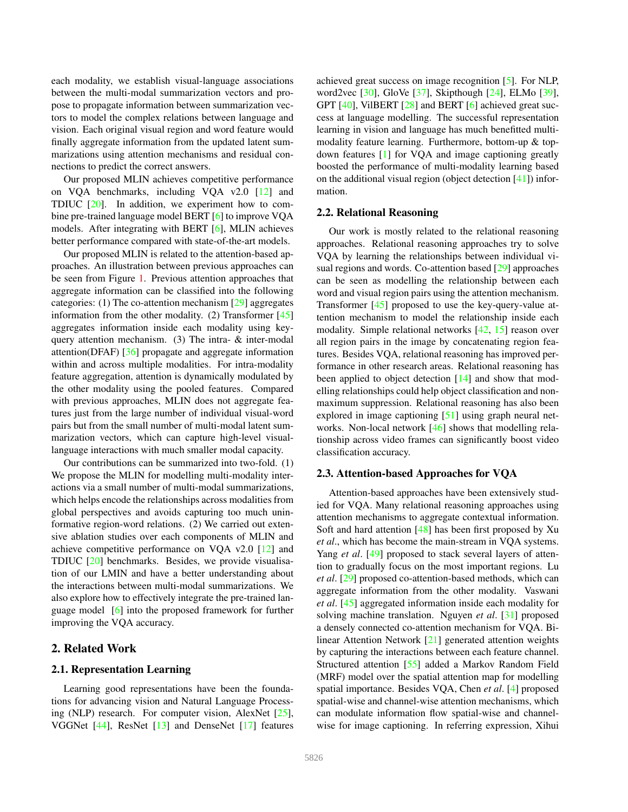each modality, we establish visual-language associations between the multi-modal summarization vectors and propose to propagate information between summarization vectors to model the complex relations between language and vision. Each original visual region and word feature would finally aggregate information from the updated latent summarizations using attention mechanisms and residual connections to predict the correct answers.

Our proposed MLIN achieves competitive performance on VQA benchmarks, including VQA v2.0 [12] and TDIUC [20]. In addition, we experiment how to combine pre-trained language model BERT [6] to improve VQA models. After integrating with BERT [6], MLIN achieves better performance compared with state-of-the-art models.

Our proposed MLIN is related to the attention-based approaches. An illustration between previous approaches can be seen from Figure 1. Previous attention approaches that aggregate information can be classified into the following categories: (1) The co-attention mechanism [29] aggregates information from the other modality. (2) Transformer [45] aggregates information inside each modality using keyquery attention mechanism. (3) The intra- & inter-modal attention(DFAF) [36] propagate and aggregate information within and across multiple modalities. For intra-modality feature aggregation, attention is dynamically modulated by the other modality using the pooled features. Compared with previous approaches, MLIN does not aggregate features just from the large number of individual visual-word pairs but from the small number of multi-modal latent summarization vectors, which can capture high-level visuallanguage interactions with much smaller modal capacity.

Our contributions can be summarized into two-fold. (1) We propose the MLIN for modelling multi-modality interactions via a small number of multi-modal summarizations, which helps encode the relationships across modalities from global perspectives and avoids capturing too much uninformative region-word relations. (2) We carried out extensive ablation studies over each components of MLIN and achieve competitive performance on VQA v2.0 [12] and TDIUC [20] benchmarks. Besides, we provide visualisation of our LMIN and have a better understanding about the interactions between multi-modal summarizations. We also explore how to effectively integrate the pre-trained language model [6] into the proposed framework for further improving the VQA accuracy.

### 2. Related Work

# 2.1. Representation Learning

Learning good representations have been the foundations for advancing vision and Natural Language Processing (NLP) research. For computer vision, AlexNet  $[25]$ , VGGNet [44], ResNet [13] and DenseNet [17] features achieved great success on image recognition [5]. For NLP, word2vec [30], GloVe [37], Skipthough [24], ELMo [39], GPT [40], VilBERT [28] and BERT [6] achieved great success at language modelling. The successful representation learning in vision and language has much benefitted multimodality feature learning. Furthermore, bottom-up & topdown features [1] for VQA and image captioning greatly boosted the performance of multi-modality learning based on the additional visual region (object detection [41]) information.

#### 2.2. Relational Reasoning

Our work is mostly related to the relational reasoning approaches. Relational reasoning approaches try to solve VQA by learning the relationships between individual visual regions and words. Co-attention based [29] approaches can be seen as modelling the relationship between each word and visual region pairs using the attention mechanism. Transformer [45] proposed to use the key-query-value attention mechanism to model the relationship inside each modality. Simple relational networks [42, 15] reason over all region pairs in the image by concatenating region features. Besides VQA, relational reasoning has improved performance in other research areas. Relational reasoning has been applied to object detection [14] and show that modelling relationships could help object classification and nonmaximum suppression. Relational reasoning has also been explored in image captioning [51] using graph neural networks. Non-local network [46] shows that modelling relationship across video frames can significantly boost video classification accuracy.

#### 2.3. Attention-based Approaches for VQA

Attention-based approaches have been extensively studied for VQA. Many relational reasoning approaches using attention mechanisms to aggregate contextual information. Soft and hard attention [48] has been first proposed by Xu *et al*., which has become the main-stream in VQA systems. Yang *et al*. [49] proposed to stack several layers of attention to gradually focus on the most important regions. Lu *et al*. [29] proposed co-attention-based methods, which can aggregate information from the other modality. Vaswani *et al*. [45] aggregated information inside each modality for solving machine translation. Nguyen *et al*. [31] proposed a densely connected co-attention mechanism for VQA. Bilinear Attention Network [21] generated attention weights by capturing the interactions between each feature channel. Structured attention [55] added a Markov Random Field (MRF) model over the spatial attention map for modelling spatial importance. Besides VQA, Chen *et al*. [4] proposed spatial-wise and channel-wise attention mechanisms, which can modulate information flow spatial-wise and channelwise for image captioning. In referring expression, Xihui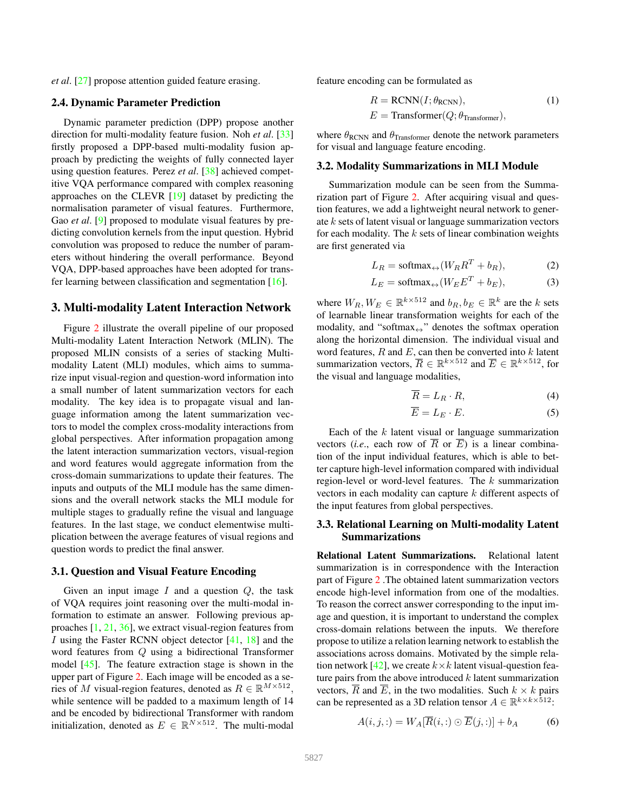*et al*. [27] propose attention guided feature erasing.

# 2.4. Dynamic Parameter Prediction

Dynamic parameter prediction (DPP) propose another direction for multi-modality feature fusion. Noh *et al*. [33] firstly proposed a DPP-based multi-modality fusion approach by predicting the weights of fully connected layer using question features. Perez *et al*. [38] achieved competitive VQA performance compared with complex reasoning approaches on the CLEVR [19] dataset by predicting the normalisation parameter of visual features. Furthermore, Gao *et al.* [9] proposed to modulate visual features by predicting convolution kernels from the input question. Hybrid convolution was proposed to reduce the number of parameters without hindering the overall performance. Beyond VQA, DPP-based approaches have been adopted for transfer learning between classification and segmentation [16].

### 3. Multi-modality Latent Interaction Network

Figure 2 illustrate the overall pipeline of our proposed Multi-modality Latent Interaction Network (MLIN). The proposed MLIN consists of a series of stacking Multimodality Latent (MLI) modules, which aims to summarize input visual-region and question-word information into a small number of latent summarization vectors for each modality. The key idea is to propagate visual and language information among the latent summarization vectors to model the complex cross-modality interactions from global perspectives. After information propagation among the latent interaction summarization vectors, visual-region and word features would aggregate information from the cross-domain summarizations to update their features. The inputs and outputs of the MLI module has the same dimensions and the overall network stacks the MLI module for multiple stages to gradually refine the visual and language features. In the last stage, we conduct elementwise multiplication between the average features of visual regions and question words to predict the final answer.

### 3.1. Question and Visual Feature Encoding

Given an input image  $I$  and a question  $Q$ , the task of VQA requires joint reasoning over the multi-modal information to estimate an answer. Following previous approaches [1, 21, 36], we extract visual-region features from I using the Faster RCNN object detector  $[41, 18]$  and the word features from Q using a bidirectional Transformer model [45]. The feature extraction stage is shown in the upper part of Figure 2. Each image will be encoded as a series of M visual-region features, denoted as  $R \in \mathbb{R}^{M \times 512}$ , while sentence will be padded to a maximum length of 14 and be encoded by bidirectional Transformer with random initialization, denoted as  $E \in \mathbb{R}^{N \times 512}$ . The multi-modal

feature encoding can be formulated as

$$
R = RCNN(I; \theta_{RCNN}),
$$
  
(1)  

$$
E = \text{Transformer}(Q; \theta_{\text{Transformer}}),
$$

where  $\theta_{\text{RCNN}}$  and  $\theta_{\text{Transformer}}$  denote the network parameters for visual and language feature encoding.

#### 3.2. Modality Summarizations in MLI Module

Summarization module can be seen from the Summarization part of Figure 2. After acquiring visual and question features, we add a lightweight neural network to generate k sets of latent visual or language summarization vectors for each modality. The  $k$  sets of linear combination weights are first generated via

$$
L_R = \text{softmax}_{\leftrightarrow} (W_R R^T + b_R), \tag{2}
$$

$$
L_E = \text{softmax}_{\leftrightarrow} (W_E E^T + b_E), \tag{3}
$$

where  $W_R, W_E \in \mathbb{R}^{k \times 512}$  and  $b_R, b_E \in \mathbb{R}^k$  are the k sets of learnable linear transformation weights for each of the modality, and "softmax $\leftrightarrow$ " denotes the softmax operation along the horizontal dimension. The individual visual and word features,  $R$  and  $E$ , can then be converted into  $k$  latent summarization vectors,  $\overline{R} \in \mathbb{R}^{k \times 512}$  and  $\overline{E} \in \mathbb{R}^{k \times 512}$ , for the visual and language modalities,

$$
\overline{R} = L_R \cdot R,\tag{4}
$$

$$
\overline{E} = L_E \cdot E. \tag{5}
$$

Each of the  $k$  latent visual or language summarization vectors (*i.e.*, each row of  $\overline{R}$  or  $\overline{E}$ ) is a linear combination of the input individual features, which is able to better capture high-level information compared with individual region-level or word-level features. The  $k$  summarization vectors in each modality can capture k different aspects of the input features from global perspectives.

### 3.3. Relational Learning on Multi-modality Latent Summarizations

Relational Latent Summarizations. Relational latent summarization is in correspondence with the Interaction part of Figure 2 .The obtained latent summarization vectors encode high-level information from one of the modalties. To reason the correct answer corresponding to the input image and question, it is important to understand the complex cross-domain relations between the inputs. We therefore propose to utilize a relation learning network to establish the associations across domains. Motivated by the simple relation network [42], we create  $k \times k$  latent visual-question feature pairs from the above introduced  $k$  latent summarization vectors,  $\overline{R}$  and  $\overline{E}$ , in the two modalities. Such  $k \times k$  pairs can be represented as a 3D relation tensor  $A \in \mathbb{R}^{k \times k \times \bar{5}12}$ .

$$
A(i,j,:) = W_A[\overline{R}(i,:) \odot \overline{E}(j,:)] + b_A \tag{6}
$$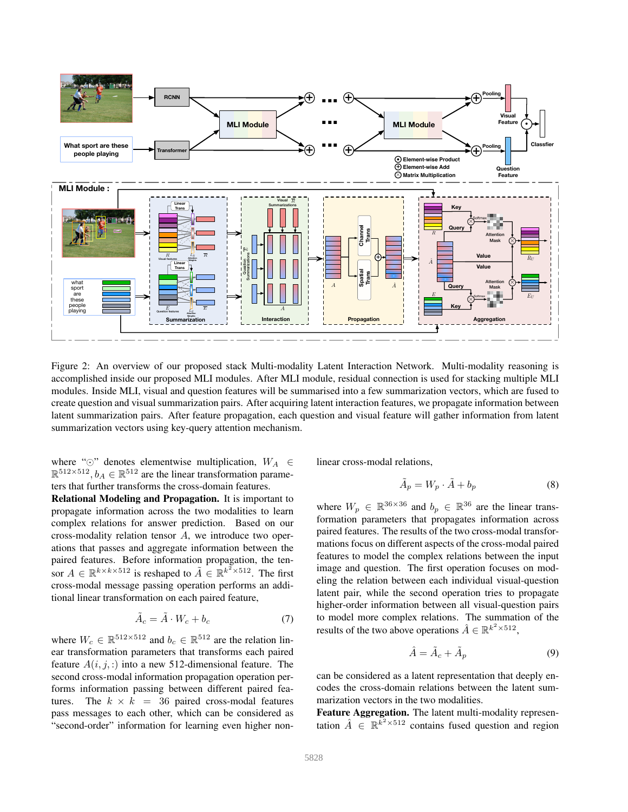

Figure 2: An overview of our proposed stack Multi-modality Latent Interaction Network. Multi-modality reasoning is accomplished inside our proposed MLI modules. After MLI module, residual connection is used for stacking multiple MLI modules. Inside MLI, visual and question features will be summarised into a few summarization vectors, which are fused to create question and visual summarization pairs. After acquiring latent interaction features, we propagate information between latent summarization pairs. After feature propagation, each question and visual feature will gather information from latent summarization vectors using key-query attention mechanism.

where " $\odot$ " denotes elementwise multiplication,  $W_A \in \mathbb{R}^{512 \times 512}$ ,  $b_A \in \mathbb{R}^{512}$  are the linear transformation parameters that further transforms the cross-domain features.

Relational Modeling and Propagation. It is important to propagate information across the two modalities to learn complex relations for answer prediction. Based on our cross-modality relation tensor A, we introduce two operations that passes and aggregate information between the paired features. Before information propagation, the tensor  $A \in \mathbb{R}^{k \times k \times 512}$  is reshaped to  $\tilde{A} \in \mathbb{R}^{k^2 \times 512}$ . The first cross-modal message passing operation performs an additional linear transformation on each paired feature,

$$
\tilde{A}_c = \tilde{A} \cdot W_c + b_c \tag{7}
$$

where  $W_c \in \mathbb{R}^{512 \times 512}$  and  $b_c \in \mathbb{R}^{512}$  are the relation linear transformation parameters that transforms each paired feature  $A(i, j, ...)$  into a new 512-dimensional feature. The second cross-modal information propagation operation performs information passing between different paired features. The  $k \times k = 36$  paired cross-modal features pass messages to each other, which can be considered as "second-order" information for learning even higher nonlinear cross-modal relations,

$$
\tilde{A}_p = W_p \cdot \tilde{A} + b_p \tag{8}
$$

where  $W_p \in \mathbb{R}^{36 \times 36}$  and  $b_p \in \mathbb{R}^{36}$  are the linear transformation parameters that propagates information across paired features. The results of the two cross-modal transformations focus on different aspects of the cross-modal paired features to model the complex relations between the input image and question. The first operation focuses on modeling the relation between each individual visual-question latent pair, while the second operation tries to propagate higher-order information between all visual-question pairs to model more complex relations. The summation of the results of the two above operations  $\hat{A} \in \mathbb{R}^{k^2 \times 512}$ ,

$$
\hat{A} = \tilde{A}_c + \tilde{A}_p \tag{9}
$$

can be considered as a latent representation that deeply encodes the cross-domain relations between the latent summarization vectors in the two modalities.

Feature Aggregation. The latent multi-modality representation  $\hat{A} \in \mathbb{R}^{\bar{k}^2 \times 512}$  contains fused question and region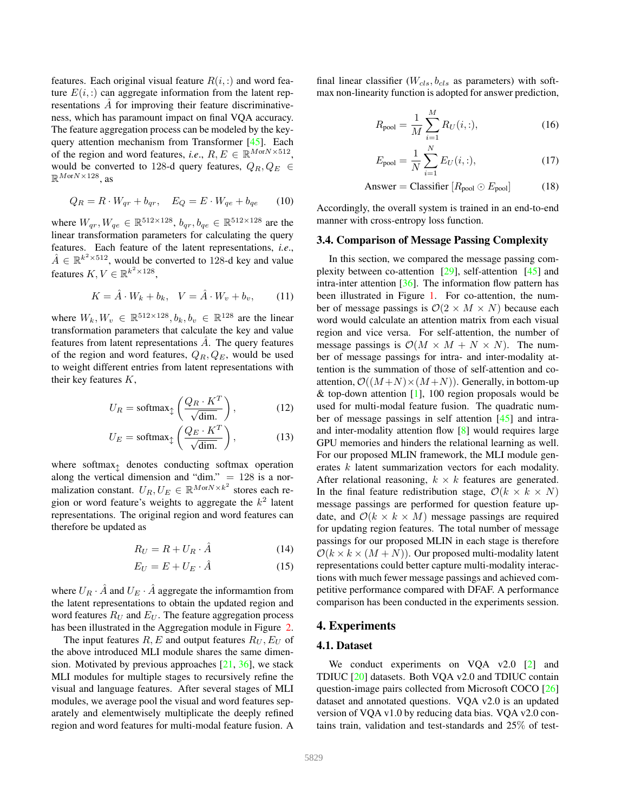features. Each original visual feature  $R(i, :)$  and word feature  $E(i,:)$  can aggregate information from the latent representations A for improving their feature discriminativeness, which has paramount impact on final VQA accuracy. The feature aggregation process can be modeled by the keyquery attention mechanism from Transformer [45]. Each of the region and word features, *i.e.*,  $R, E \in \mathbb{R}^{M \text{or} N \times 512}$ , would be converted to 128-d query features,  $Q_R, Q_E \in$  $\mathbb{R}^{M \text{or} N \times 128}$ , as

$$
Q_R = R \cdot W_{qr} + b_{qr}, \quad E_Q = E \cdot W_{qe} + b_{qe} \tag{10}
$$

where  $W_{qr}, W_{qe} \in \mathbb{R}^{512 \times 128}, b_{qr}, b_{qe} \in \mathbb{R}^{512 \times 128}$  are the linear transformation parameters for calculating the query features. Each feature of the latent representations, *i.e*.,  $\hat{A} \in \mathbb{R}^{k^2 \times 512}$ , would be converted to 128-d key and value features  $K, V \in \mathbb{R}^{k^2 \times 128}$ ,

$$
K = \hat{A} \cdot W_k + b_k, \quad V = \hat{A} \cdot W_v + b_v, \quad (11)
$$

where  $W_k, W_v \in \mathbb{R}^{512 \times 128}, b_k, b_v \in \mathbb{R}^{128}$  are the linear transformation parameters that calculate the key and value features from latent representations  $\ddot{A}$ . The query features of the region and word features,  $Q_R, Q_E$ , would be used to weight different entries from latent representations with their key features  $K$ ,

$$
U_R = \text{softmax}_{\updownarrow} \left( \frac{Q_R \cdot K^T}{\sqrt{\text{dim.}}} \right),\tag{12}
$$

$$
U_E = \text{softmax}_{\updownarrow} \left( \frac{Q_E \cdot K^T}{\sqrt{\text{dim.}}} \right),\tag{13}
$$

where softmax $\uparrow$  denotes conducting softmax operation along the vertical dimension and "dim."  $= 128$  is a normalization constant.  $U_R, U_E \in \mathbb{R}^{M \text{or} N \times k^2}$  stores each region or word feature's weights to aggregate the  $k^2$  latent representations. The original region and word features can therefore be updated as

$$
R_U = R + U_R \cdot \hat{A} \tag{14}
$$

$$
E_U = E + U_E \cdot \hat{A} \tag{15}
$$

where  $U_R \cdot \hat{A}$  and  $U_E \cdot \hat{A}$  aggregate the informamtion from the latent representations to obtain the updated region and word features  $R_U$  and  $E_U$ . The feature aggregation process has been illustrated in the Aggregation module in Figure 2.

The input features  $R$ , E and output features  $R_U$ ,  $E_U$  of the above introduced MLI module shares the same dimension. Motivated by previous approaches  $[21, 36]$ , we stack MLI modules for multiple stages to recursively refine the visual and language features. After several stages of MLI modules, we average pool the visual and word features separately and elementwisely multiplicate the deeply refined region and word features for multi-modal feature fusion. A

final linear classifier ( $W_{cls}$ ,  $b_{cls}$  as parameters) with softmax non-linearity function is adopted for answer prediction,

$$
R_{\text{pool}} = \frac{1}{M} \sum_{i=1}^{M} R_U(i, :), \tag{16}
$$

$$
E_{\text{pool}} = \frac{1}{N} \sum_{i=1}^{N} E_U(i,:), \tag{17}
$$

Answer = Classifier 
$$
[R_{\text{pool}} \odot E_{\text{pool}}]
$$
 (18)

Accordingly, the overall system is trained in an end-to-end manner with cross-entropy loss function.

#### 3.4. Comparison of Message Passing Complexity

In this section, we compared the message passing complexity between co-attention [29], self-attention [45] and intra-inter attention [36]. The information flow pattern has been illustrated in Figure 1. For co-attention, the number of message passings is  $\mathcal{O}(2 \times M \times N)$  because each word would calculate an attention matrix from each visual region and vice versa. For self-attention, the number of message passings is  $\mathcal{O}(M \times M + N \times N)$ . The number of message passings for intra- and inter-modality attention is the summation of those of self-attention and coattention,  $\mathcal{O}((M+N)\times(M+N))$ . Generally, in bottom-up & top-down attention  $[1]$ , 100 region proposals would be used for multi-modal feature fusion. The quadratic number of message passings in self attention [45] and intraand inter-modality attention flow [8] would requires large GPU memories and hinders the relational learning as well. For our proposed MLIN framework, the MLI module generates k latent summarization vectors for each modality. After relational reasoning,  $k \times k$  features are generated. In the final feature redistribution stage,  $\mathcal{O}(k \times k \times N)$ message passings are performed for question feature update, and  $\mathcal{O}(k \times k \times M)$  message passings are required for updating region features. The total number of message passings for our proposed MLIN in each stage is therefore  $\mathcal{O}(k \times k \times (M+N))$ . Our proposed multi-modality latent representations could better capture multi-modality interactions with much fewer message passings and achieved competitive performance compared with DFAF. A performance comparison has been conducted in the experiments session.

# 4. Experiments

### 4.1. Dataset

We conduct experiments on VQA v2.0 [2] and TDIUC [20] datasets. Both VQA v2.0 and TDIUC contain question-image pairs collected from Microsoft COCO [26] dataset and annotated questions. VQA v2.0 is an updated version of VQA v1.0 by reducing data bias. VQA v2.0 contains train, validation and test-standards and 25% of test-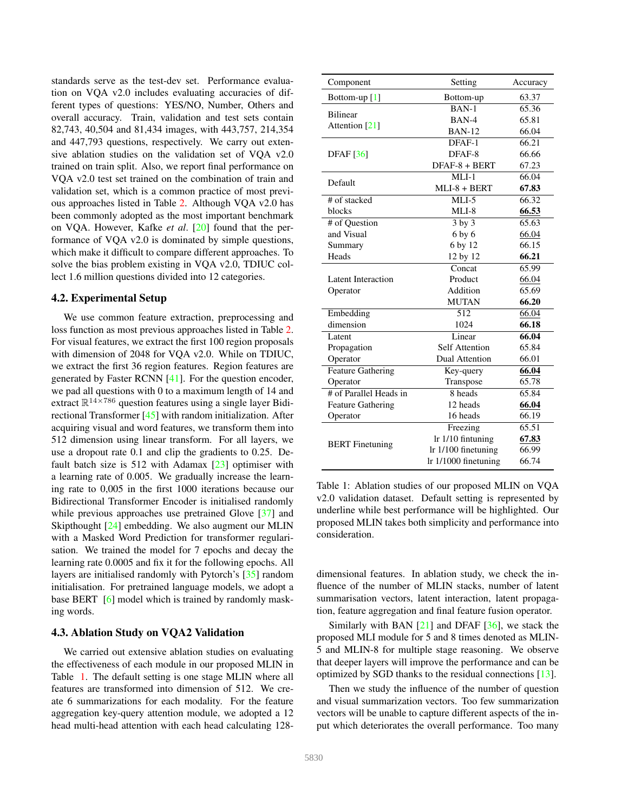standards serve as the test-dev set. Performance evaluation on VQA v2.0 includes evaluating accuracies of different types of questions: YES/NO, Number, Others and overall accuracy. Train, validation and test sets contain 82,743, 40,504 and 81,434 images, with 443,757, 214,354 and 447,793 questions, respectively. We carry out extensive ablation studies on the validation set of VQA v2.0 trained on train split. Also, we report final performance on VQA v2.0 test set trained on the combination of train and validation set, which is a common practice of most previous approaches listed in Table 2. Although VQA v2.0 has been commonly adopted as the most important benchmark on VQA. However, Kafke *et al*. [20] found that the performance of VQA v2.0 is dominated by simple questions, which make it difficult to compare different approaches. To solve the bias problem existing in VQA v2.0, TDIUC collect 1.6 million questions divided into 12 categories.

# 4.2. Experimental Setup

We use common feature extraction, preprocessing and loss function as most previous approaches listed in Table 2. For visual features, we extract the first 100 region proposals with dimension of 2048 for VQA v2.0. While on TDIUC, we extract the first 36 region features. Region features are generated by Faster RCNN [41]. For the question encoder, we pad all questions with 0 to a maximum length of 14 and extract  $\mathbb{R}^{14\times 786}$  question features using a single layer Bidirectional Transformer [45] with random initialization. After acquiring visual and word features, we transform them into 512 dimension using linear transform. For all layers, we use a dropout rate 0.1 and clip the gradients to 0.25. Default batch size is 512 with Adamax [23] optimiser with a learning rate of 0.005. We gradually increase the learning rate to 0,005 in the first 1000 iterations because our Bidirectional Transformer Encoder is initialised randomly while previous approaches use pretrained Glove [37] and Skipthought [24] embedding. We also augment our MLIN with a Masked Word Prediction for transformer regularisation. We trained the model for 7 epochs and decay the learning rate 0.0005 and fix it for the following epochs. All layers are initialised randomly with Pytorch's [35] random initialisation. For pretrained language models, we adopt a base BERT [6] model which is trained by randomly masking words.

#### 4.3. Ablation Study on VQA2 Validation

We carried out extensive ablation studies on evaluating the effectiveness of each module in our proposed MLIN in Table 1. The default setting is one stage MLIN where all features are transformed into dimension of 512. We create 6 summarizations for each modality. For the feature aggregation key-query attention module, we adopted a 12 head multi-head attention with each head calculating 128-

| Component                 | Setting              | Accuracy |
|---------------------------|----------------------|----------|
| Bottom-up $[1]$           | Bottom-up            | 63.37    |
|                           | $BAN-1$              | 65.36    |
| <b>Bilinear</b>           | BAN-4                | 65.81    |
| Attention [21]            | <b>BAN-12</b>        | 66.04    |
|                           | DFAF-1               | 66.21    |
| <b>DFAF</b> [36]          | DFAF-8               | 66.66    |
|                           | DFAF-8 + BERT        | 67.23    |
| Default                   | $MLI-1$              | 66.04    |
|                           | $MLI-8 + BERT$       | 67.83    |
| # of stacked              | $MLI-5$              | 66.32    |
| blocks                    | $MLI-8$              | 66.53    |
| # of Question             | $3$ by $3$           | 65.63    |
| and Visual                | 6 by 6               | 66.04    |
| Summary                   | 6 by 12              | 66.15    |
| Heads                     | 12 by 12             | 66.21    |
|                           | Concat               | 65.99    |
| <b>Latent Interaction</b> | Product              | 66.04    |
| Operator                  | Addition             | 65.69    |
|                           | <b>MUTAN</b>         | 66.20    |
| Embedding                 | 512                  | 66.04    |
| dimension                 | 1024                 | 66.18    |
| Latent                    | Linear               | 66.04    |
| Propagation               | Self Attention       | 65.84    |
| Operator                  | Dual Attention       | 66.01    |
| <b>Feature Gathering</b>  | Key-query            | 66.04    |
| Operator                  | Transpose            | 65.78    |
| # of Parallel Heads in    | $8$ heads            | 65.84    |
| <b>Feature Gathering</b>  | 12 heads             | 66.04    |
| Operator                  | 16 heads             | 66.19    |
|                           | Freezing             | 65.51    |
|                           | lr 1/10 fintuning    | 67.83    |
| <b>BERT</b> Finetuning    | lr 1/100 finetuning  | 66.99    |
|                           | lr 1/1000 finetuning | 66.74    |

Table 1: Ablation studies of our proposed MLIN on VQA v2.0 validation dataset. Default setting is represented by underline while best performance will be highlighted. Our proposed MLIN takes both simplicity and performance into consideration.

dimensional features. In ablation study, we check the influence of the number of MLIN stacks, number of latent summarisation vectors, latent interaction, latent propagation, feature aggregation and final feature fusion operator.

Similarly with BAN  $[21]$  and DFAF  $[36]$ , we stack the proposed MLI module for 5 and 8 times denoted as MLIN-5 and MLIN-8 for multiple stage reasoning. We observe that deeper layers will improve the performance and can be optimized by SGD thanks to the residual connections [13].

Then we study the influence of the number of question and visual summarization vectors. Too few summarization vectors will be unable to capture different aspects of the input which deteriorates the overall performance. Too many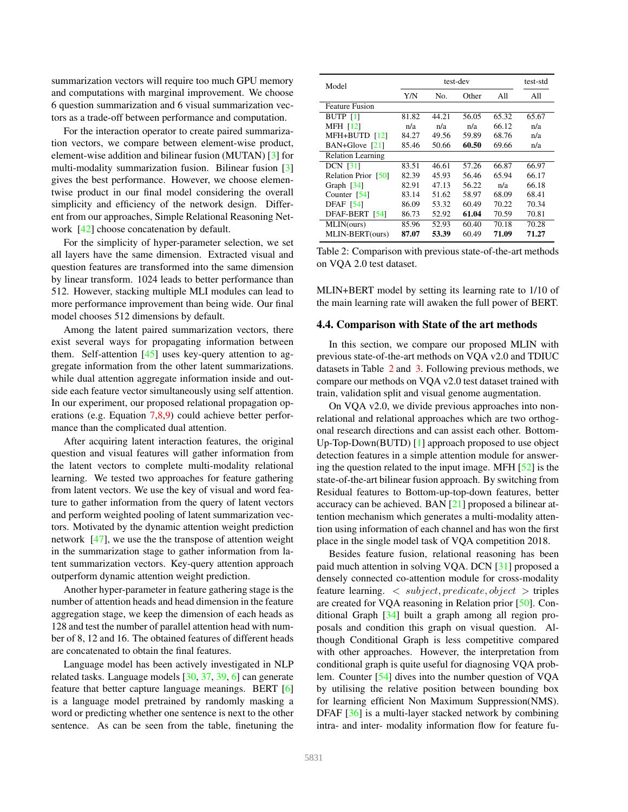summarization vectors will require too much GPU memory and computations with marginal improvement. We choose 6 question summarization and 6 visual summarization vectors as a trade-off between performance and computation.

For the interaction operator to create paired summarization vectors, we compare between element-wise product, element-wise addition and bilinear fusion (MUTAN) [3] for multi-modality summarization fusion. Bilinear fusion [3] gives the best performance. However, we choose elementwise product in our final model considering the overall simplicity and efficiency of the network design. Different from our approaches, Simple Relational Reasoning Network [42] choose concatenation by default.

For the simplicity of hyper-parameter selection, we set all layers have the same dimension. Extracted visual and question features are transformed into the same dimension by linear transform. 1024 leads to better performance than 512. However, stacking multiple MLI modules can lead to more performance improvement than being wide. Our final model chooses 512 dimensions by default.

Among the latent paired summarization vectors, there exist several ways for propagating information between them. Self-attention  $[45]$  uses key-query attention to aggregate information from the other latent summarizations. while dual attention aggregate information inside and outside each feature vector simultaneously using self attention. In our experiment, our proposed relational propagation operations (e.g. Equation 7,8,9) could achieve better performance than the complicated dual attention.

After acquiring latent interaction features, the original question and visual features will gather information from the latent vectors to complete multi-modality relational learning. We tested two approaches for feature gathering from latent vectors. We use the key of visual and word feature to gather information from the query of latent vectors and perform weighted pooling of latent summarization vectors. Motivated by the dynamic attention weight prediction network [47], we use the the transpose of attention weight in the summarization stage to gather information from latent summarization vectors. Key-query attention approach outperform dynamic attention weight prediction.

Another hyper-parameter in feature gathering stage is the number of attention heads and head dimension in the feature aggregation stage, we keep the dimension of each heads as 128 and test the number of parallel attention head with number of 8, 12 and 16. The obtained features of different heads are concatenated to obtain the final features.

Language model has been actively investigated in NLP related tasks. Language models [30, 37, 39, 6] can generate feature that better capture language meanings. BERT [6] is a language model pretrained by randomly masking a word or predicting whether one sentence is next to the other sentence. As can be seen from the table, finetuning the

| Model                    | test-dev |       |       |       | test-std |
|--------------------------|----------|-------|-------|-------|----------|
|                          | Y/N      | No.   | Other | All   | All      |
| <b>Feature Fusion</b>    |          |       |       |       |          |
| <b>BUTP</b> [1]          | 81.82    | 44.21 | 56.05 | 65.32 | 65.67    |
| <b>MFH [12]</b>          | n/a      | n/a   | n/a   | 66.12 | n/a      |
| MFH+BUTD [12]            | 84.27    | 49.56 | 59.89 | 68.76 | n/a      |
| BAN+Glove [21]           | 85.46    | 50.66 | 60.50 | 69.66 | n/a      |
| <b>Relation Learning</b> |          |       |       |       |          |
| <b>DCN</b> [31]          | 83.51    | 46.61 | 57.26 | 66.87 | 66.97    |
| Relation Prior [50]      | 82.39    | 45.93 | 56.46 | 65.94 | 66.17    |
| Graph $[34]$             | 82.91    | 47.13 | 56.22 | n/a   | 66.18    |
| Counter $[54]$           | 83.14    | 51.62 | 58.97 | 68.09 | 68.41    |
| <b>DFAF</b> [54]         | 86.09    | 53.32 | 60.49 | 70.22 | 70.34    |
| DFAF-BERT [54]           | 86.73    | 52.92 | 61.04 | 70.59 | 70.81    |
| MLIN(ours)               | 85.96    | 52.93 | 60.40 | 70.18 | 70.28    |
| MLIN-BERT(ours)          | 87.07    | 53.39 | 60.49 | 71.09 | 71.27    |

Table 2: Comparison with previous state-of-the-art methods on VQA 2.0 test dataset.

MLIN+BERT model by setting its learning rate to 1/10 of the main learning rate will awaken the full power of BERT.

#### 4.4. Comparison with State of the art methods

In this section, we compare our proposed MLIN with previous state-of-the-art methods on VQA v2.0 and TDIUC datasets in Table 2 and 3. Following previous methods, we compare our methods on VQA v2.0 test dataset trained with train, validation split and visual genome augmentation.

On VQA v2.0, we divide previous approaches into nonrelational and relational approaches which are two orthogonal research directions and can assist each other. Bottom-Up-Top-Down(BUTD) [1] approach proposed to use object detection features in a simple attention module for answering the question related to the input image. MFH [52] is the state-of-the-art bilinear fusion approach. By switching from Residual features to Bottom-up-top-down features, better accuracy can be achieved. BAN [21] proposed a bilinear attention mechanism which generates a multi-modality attention using information of each channel and has won the first place in the single model task of VQA competition 2018.

Besides feature fusion, relational reasoning has been paid much attention in solving VQA. DCN [31] proposed a densely connected co-attention module for cross-modality feature learning.  $\langle$  subject, predicate, object  $\rangle$  triples are created for VQA reasoning in Relation prior [50]. Conditional Graph [34] built a graph among all region proposals and condition this graph on visual question. Although Conditional Graph is less competitive compared with other approaches. However, the interpretation from conditional graph is quite useful for diagnosing VQA problem. Counter [54] dives into the number question of VQA by utilising the relative position between bounding box for learning efficient Non Maximum Suppression(NMS). DFAF [36] is a multi-layer stacked network by combining intra- and inter- modality information flow for feature fu-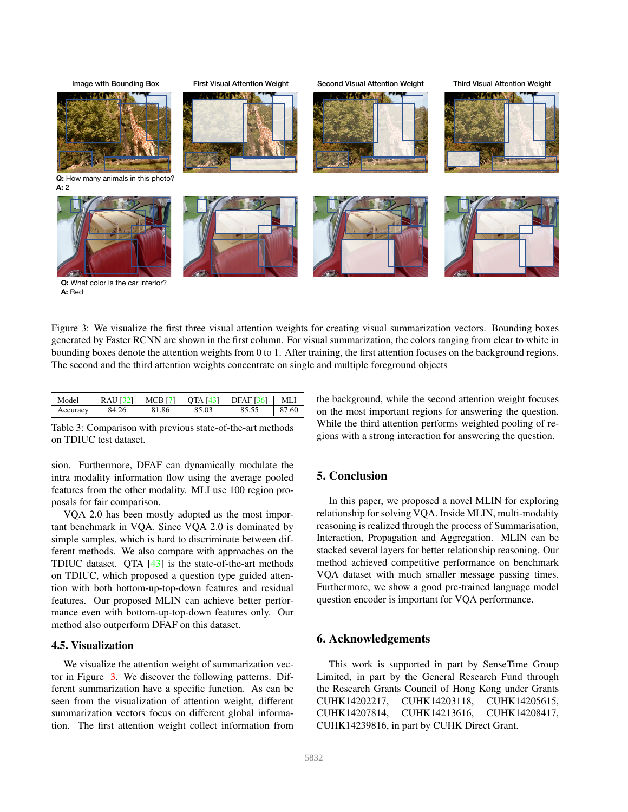**Q:** How many animals in this photo? **A:** 2 **Q:** What color is the car interior? **A:** Red Image with Bounding Box First Visual Attention Weight Second Visual Attention Weight Third Visual Attention Weight

Figure 3: We visualize the first three visual attention weights for creating visual summarization vectors. Bounding boxes generated by Faster RCNN are shown in the first column. For visual summarization, the colors ranging from clear to white in bounding boxes denote the attention weights from 0 to 1. After training, the first attention focuses on the background regions. The second and the third attention weights concentrate on single and multiple foreground objects

| Model    |       |       |       | RAU [32] MCB [7] QTA [43] DFAF [36]   MLI |  |
|----------|-------|-------|-------|-------------------------------------------|--|
| Accuracy | 84.26 | 81.86 | 85.03 | 85.55   87.60                             |  |

Table 3: Comparison with previous state-of-the-art methods on TDIUC test dataset.

sion. Furthermore, DFAF can dynamically modulate the intra modality information flow using the average pooled features from the other modality. MLI use 100 region proposals for fair comparison.

VQA 2.0 has been mostly adopted as the most important benchmark in VQA. Since VQA 2.0 is dominated by simple samples, which is hard to discriminate between different methods. We also compare with approaches on the TDIUC dataset. QTA [43] is the state-of-the-art methods on TDIUC, which proposed a question type guided attention with both bottom-up-top-down features and residual features. Our proposed MLIN can achieve better performance even with bottom-up-top-down features only. Our method also outperform DFAF on this dataset.

#### 4.5. Visualization

We visualize the attention weight of summarization vector in Figure 3. We discover the following patterns. Different summarization have a specific function. As can be seen from the visualization of attention weight, different summarization vectors focus on different global information. The first attention weight collect information from

the background, while the second attention weight focuses on the most important regions for answering the question. While the third attention performs weighted pooling of regions with a strong interaction for answering the question.

# 5. Conclusion

In this paper, we proposed a novel MLIN for exploring relationship for solving VQA. Inside MLIN, multi-modality reasoning is realized through the process of Summarisation, Interaction, Propagation and Aggregation. MLIN can be stacked several layers for better relationship reasoning. Our method achieved competitive performance on benchmark VQA dataset with much smaller message passing times. Furthermore, we show a good pre-trained language model question encoder is important for VQA performance.

# 6. Acknowledgements

This work is supported in part by SenseTime Group Limited, in part by the General Research Fund through the Research Grants Council of Hong Kong under Grants CUHK14202217, CUHK14203118, CUHK14205615, CUHK14207814, CUHK14213616, CUHK14208417, CUHK14239816, in part by CUHK Direct Grant.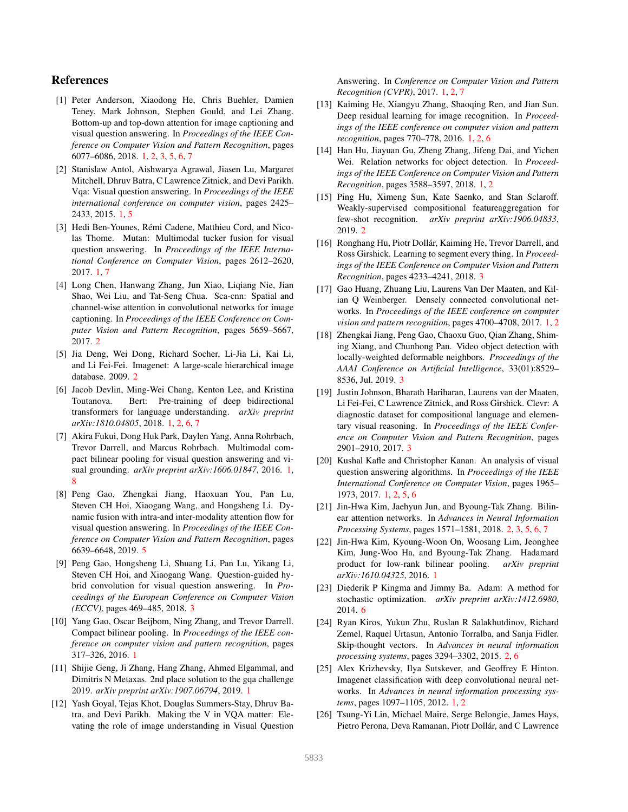# References

- [1] Peter Anderson, Xiaodong He, Chris Buehler, Damien Teney, Mark Johnson, Stephen Gould, and Lei Zhang. Bottom-up and top-down attention for image captioning and visual question answering. In *Proceedings of the IEEE Conference on Computer Vision and Pattern Recognition*, pages 6077–6086, 2018. 1, 2, 3, 5, 6, 7
- [2] Stanislaw Antol, Aishwarya Agrawal, Jiasen Lu, Margaret Mitchell, Dhruv Batra, C Lawrence Zitnick, and Devi Parikh. Vqa: Visual question answering. In *Proceedings of the IEEE international conference on computer vision*, pages 2425– 2433, 2015. 1, 5
- [3] Hedi Ben-Younes, Rémi Cadene, Matthieu Cord, and Nicolas Thome. Mutan: Multimodal tucker fusion for visual question answering. In *Proceedings of the IEEE International Conference on Computer Vision*, pages 2612–2620, 2017. 1, 7
- [4] Long Chen, Hanwang Zhang, Jun Xiao, Liqiang Nie, Jian Shao, Wei Liu, and Tat-Seng Chua. Sca-cnn: Spatial and channel-wise attention in convolutional networks for image captioning. In *Proceedings of the IEEE Conference on Computer Vision and Pattern Recognition*, pages 5659–5667, 2017. 2
- [5] Jia Deng, Wei Dong, Richard Socher, Li-Jia Li, Kai Li, and Li Fei-Fei. Imagenet: A large-scale hierarchical image database. 2009. 2
- [6] Jacob Devlin, Ming-Wei Chang, Kenton Lee, and Kristina Toutanova. Bert: Pre-training of deep bidirectional transformers for language understanding. *arXiv preprint arXiv:1810.04805*, 2018. 1, 2, 6, 7
- [7] Akira Fukui, Dong Huk Park, Daylen Yang, Anna Rohrbach, Trevor Darrell, and Marcus Rohrbach. Multimodal compact bilinear pooling for visual question answering and visual grounding. *arXiv preprint arXiv:1606.01847*, 2016. 1, 8
- [8] Peng Gao, Zhengkai Jiang, Haoxuan You, Pan Lu, Steven CH Hoi, Xiaogang Wang, and Hongsheng Li. Dynamic fusion with intra-and inter-modality attention flow for visual question answering. In *Proceedings of the IEEE Conference on Computer Vision and Pattern Recognition*, pages 6639–6648, 2019. 5
- [9] Peng Gao, Hongsheng Li, Shuang Li, Pan Lu, Yikang Li, Steven CH Hoi, and Xiaogang Wang. Question-guided hybrid convolution for visual question answering. In *Proceedings of the European Conference on Computer Vision (ECCV)*, pages 469–485, 2018. 3
- [10] Yang Gao, Oscar Beijbom, Ning Zhang, and Trevor Darrell. Compact bilinear pooling. In *Proceedings of the IEEE conference on computer vision and pattern recognition*, pages 317–326, 2016. 1
- [11] Shijie Geng, Ji Zhang, Hang Zhang, Ahmed Elgammal, and Dimitris N Metaxas. 2nd place solution to the gqa challenge 2019. *arXiv preprint arXiv:1907.06794*, 2019. 1
- [12] Yash Goyal, Tejas Khot, Douglas Summers-Stay, Dhruv Batra, and Devi Parikh. Making the V in VQA matter: Elevating the role of image understanding in Visual Question

Answering. In *Conference on Computer Vision and Pattern Recognition (CVPR)*, 2017. 1, 2, 7

- [13] Kaiming He, Xiangyu Zhang, Shaoqing Ren, and Jian Sun. Deep residual learning for image recognition. In *Proceedings of the IEEE conference on computer vision and pattern recognition*, pages 770–778, 2016. 1, 2, 6
- [14] Han Hu, Jiayuan Gu, Zheng Zhang, Jifeng Dai, and Yichen Wei. Relation networks for object detection. In *Proceedings of the IEEE Conference on Computer Vision and Pattern Recognition*, pages 3588–3597, 2018. 1, 2
- [15] Ping Hu, Ximeng Sun, Kate Saenko, and Stan Sclaroff. Weakly-supervised compositional featureaggregation for few-shot recognition. *arXiv preprint arXiv:1906.04833*, 2019. 2
- [16] Ronghang Hu, Piotr Dollár, Kaiming He, Trevor Darrell, and Ross Girshick. Learning to segment every thing. In *Proceedings of the IEEE Conference on Computer Vision and Pattern Recognition*, pages 4233–4241, 2018. 3
- [17] Gao Huang, Zhuang Liu, Laurens Van Der Maaten, and Kilian Q Weinberger. Densely connected convolutional networks. In *Proceedings of the IEEE conference on computer vision and pattern recognition*, pages 4700–4708, 2017. 1, 2
- [18] Zhengkai Jiang, Peng Gao, Chaoxu Guo, Qian Zhang, Shiming Xiang, and Chunhong Pan. Video object detection with locally-weighted deformable neighbors. *Proceedings of the AAAI Conference on Artificial Intelligence*, 33(01):8529– 8536, Jul. 2019. 3
- [19] Justin Johnson, Bharath Hariharan, Laurens van der Maaten, Li Fei-Fei, C Lawrence Zitnick, and Ross Girshick. Clevr: A diagnostic dataset for compositional language and elementary visual reasoning. In *Proceedings of the IEEE Conference on Computer Vision and Pattern Recognition*, pages 2901–2910, 2017. 3
- [20] Kushal Kafle and Christopher Kanan. An analysis of visual question answering algorithms. In *Proceedings of the IEEE International Conference on Computer Vision*, pages 1965– 1973, 2017. 1, 2, 5, 6
- [21] Jin-Hwa Kim, Jaehyun Jun, and Byoung-Tak Zhang. Bilinear attention networks. In *Advances in Neural Information Processing Systems*, pages 1571–1581, 2018. 2, 3, 5, 6, 7
- [22] Jin-Hwa Kim, Kyoung-Woon On, Woosang Lim, Jeonghee Kim, Jung-Woo Ha, and Byoung-Tak Zhang. Hadamard product for low-rank bilinear pooling. *arXiv preprint arXiv:1610.04325*, 2016. 1
- [23] Diederik P Kingma and Jimmy Ba. Adam: A method for stochastic optimization. *arXiv preprint arXiv:1412.6980*, 2014. 6
- [24] Ryan Kiros, Yukun Zhu, Ruslan R Salakhutdinov, Richard Zemel, Raquel Urtasun, Antonio Torralba, and Sanja Fidler. Skip-thought vectors. In *Advances in neural information processing systems*, pages 3294–3302, 2015. 2, 6
- [25] Alex Krizhevsky, Ilya Sutskever, and Geoffrey E Hinton. Imagenet classification with deep convolutional neural networks. In *Advances in neural information processing systems*, pages 1097–1105, 2012. 1, 2
- [26] Tsung-Yi Lin, Michael Maire, Serge Belongie, James Hays, Pietro Perona, Deva Ramanan, Piotr Dollár, and C Lawrence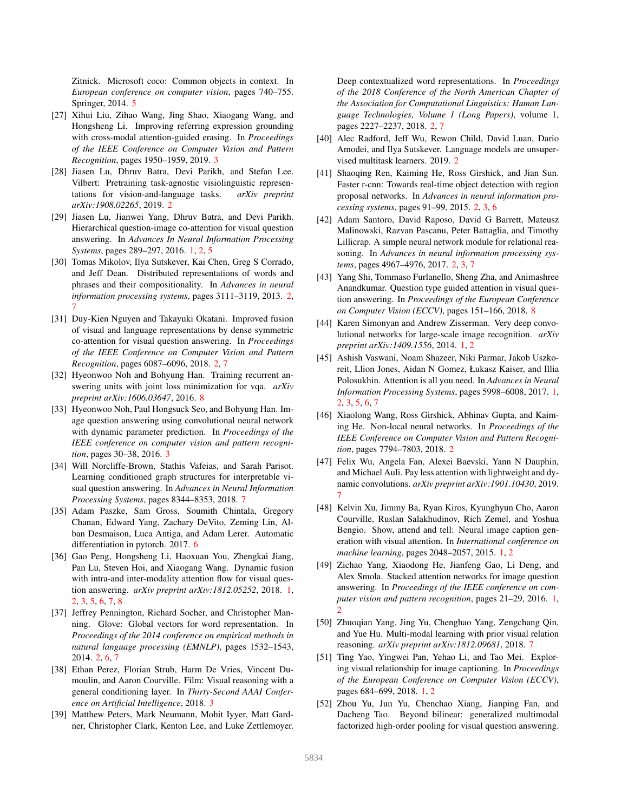Zitnick. Microsoft coco: Common objects in context. In *European conference on computer vision*, pages 740–755. Springer, 2014. 5

- [27] Xihui Liu, Zihao Wang, Jing Shao, Xiaogang Wang, and Hongsheng Li. Improving referring expression grounding with cross-modal attention-guided erasing. In *Proceedings of the IEEE Conference on Computer Vision and Pattern Recognition*, pages 1950–1959, 2019. 3
- [28] Jiasen Lu, Dhruv Batra, Devi Parikh, and Stefan Lee. Vilbert: Pretraining task-agnostic visiolinguistic representations for vision-and-language tasks. *arXiv preprint arXiv:1908.02265*, 2019. 2
- [29] Jiasen Lu, Jianwei Yang, Dhruv Batra, and Devi Parikh. Hierarchical question-image co-attention for visual question answering. In *Advances In Neural Information Processing Systems*, pages 289–297, 2016. 1, 2, 5
- [30] Tomas Mikolov, Ilya Sutskever, Kai Chen, Greg S Corrado, and Jeff Dean. Distributed representations of words and phrases and their compositionality. In *Advances in neural information processing systems*, pages 3111–3119, 2013. 2, 7
- [31] Duy-Kien Nguyen and Takayuki Okatani. Improved fusion of visual and language representations by dense symmetric co-attention for visual question answering. In *Proceedings of the IEEE Conference on Computer Vision and Pattern Recognition*, pages 6087–6096, 2018. 2, 7
- [32] Hyeonwoo Noh and Bohyung Han. Training recurrent answering units with joint loss minimization for vqa. *arXiv preprint arXiv:1606.03647*, 2016. 8
- [33] Hyeonwoo Noh, Paul Hongsuck Seo, and Bohyung Han. Image question answering using convolutional neural network with dynamic parameter prediction. In *Proceedings of the IEEE conference on computer vision and pattern recognition*, pages 30–38, 2016. 3
- [34] Will Norcliffe-Brown, Stathis Vafeias, and Sarah Parisot. Learning conditioned graph structures for interpretable visual question answering. In *Advances in Neural Information Processing Systems*, pages 8344–8353, 2018. 7
- [35] Adam Paszke, Sam Gross, Soumith Chintala, Gregory Chanan, Edward Yang, Zachary DeVito, Zeming Lin, Alban Desmaison, Luca Antiga, and Adam Lerer. Automatic differentiation in pytorch. 2017. 6
- [36] Gao Peng, Hongsheng Li, Haoxuan You, Zhengkai Jiang, Pan Lu, Steven Hoi, and Xiaogang Wang. Dynamic fusion with intra-and inter-modality attention flow for visual question answering. *arXiv preprint arXiv:1812.05252*, 2018. 1, 2, 3, 5, 6, 7, 8
- [37] Jeffrey Pennington, Richard Socher, and Christopher Manning. Glove: Global vectors for word representation. In *Proceedings of the 2014 conference on empirical methods in natural language processing (EMNLP)*, pages 1532–1543, 2014. 2, 6, 7
- [38] Ethan Perez, Florian Strub, Harm De Vries, Vincent Dumoulin, and Aaron Courville. Film: Visual reasoning with a general conditioning layer. In *Thirty-Second AAAI Conference on Artificial Intelligence*, 2018. 3
- [39] Matthew Peters, Mark Neumann, Mohit Iyyer, Matt Gardner, Christopher Clark, Kenton Lee, and Luke Zettlemoyer.

Deep contextualized word representations. In *Proceedings of the 2018 Conference of the North American Chapter of the Association for Computational Linguistics: Human Language Technologies, Volume 1 (Long Papers)*, volume 1, pages 2227–2237, 2018. 2, 7

- [40] Alec Radford, Jeff Wu, Rewon Child, David Luan, Dario Amodei, and Ilya Sutskever. Language models are unsupervised multitask learners. 2019. 2
- [41] Shaoqing Ren, Kaiming He, Ross Girshick, and Jian Sun. Faster r-cnn: Towards real-time object detection with region proposal networks. In *Advances in neural information processing systems*, pages 91–99, 2015. 2, 3, 6
- [42] Adam Santoro, David Raposo, David G Barrett, Mateusz Malinowski, Razvan Pascanu, Peter Battaglia, and Timothy Lillicrap. A simple neural network module for relational reasoning. In *Advances in neural information processing systems*, pages 4967–4976, 2017. 2, 3, 7
- [43] Yang Shi, Tommaso Furlanello, Sheng Zha, and Animashree Anandkumar. Question type guided attention in visual question answering. In *Proceedings of the European Conference on Computer Vision (ECCV)*, pages 151–166, 2018. 8
- [44] Karen Simonyan and Andrew Zisserman. Very deep convolutional networks for large-scale image recognition. *arXiv preprint arXiv:1409.1556*, 2014. 1, 2
- [45] Ashish Vaswani, Noam Shazeer, Niki Parmar, Jakob Uszkoreit, Llion Jones, Aidan N Gomez, Łukasz Kaiser, and Illia Polosukhin. Attention is all you need. In *Advances in Neural Information Processing Systems*, pages 5998–6008, 2017. 1, 2, 3, 5, 6, 7
- [46] Xiaolong Wang, Ross Girshick, Abhinav Gupta, and Kaiming He. Non-local neural networks. In *Proceedings of the IEEE Conference on Computer Vision and Pattern Recognition*, pages 7794–7803, 2018. 2
- [47] Felix Wu, Angela Fan, Alexei Baevski, Yann N Dauphin, and Michael Auli. Pay less attention with lightweight and dynamic convolutions. *arXiv preprint arXiv:1901.10430*, 2019. 7
- [48] Kelvin Xu, Jimmy Ba, Ryan Kiros, Kyunghyun Cho, Aaron Courville, Ruslan Salakhudinov, Rich Zemel, and Yoshua Bengio. Show, attend and tell: Neural image caption generation with visual attention. In *International conference on machine learning*, pages 2048–2057, 2015. 1, 2
- [49] Zichao Yang, Xiaodong He, Jianfeng Gao, Li Deng, and Alex Smola. Stacked attention networks for image question answering. In *Proceedings of the IEEE conference on computer vision and pattern recognition*, pages 21–29, 2016. 1,  $\mathcal{D}$
- [50] Zhuoqian Yang, Jing Yu, Chenghao Yang, Zengchang Qin, and Yue Hu. Multi-modal learning with prior visual relation reasoning. *arXiv preprint arXiv:1812.09681*, 2018. 7
- [51] Ting Yao, Yingwei Pan, Yehao Li, and Tao Mei. Exploring visual relationship for image captioning. In *Proceedings of the European Conference on Computer Vision (ECCV)*, pages 684–699, 2018. 1, 2
- [52] Zhou Yu, Jun Yu, Chenchao Xiang, Jianping Fan, and Dacheng Tao. Beyond bilinear: generalized multimodal factorized high-order pooling for visual question answering.